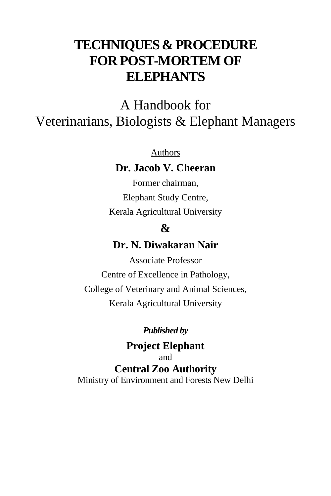# **TECHNIQUES & PROCEDURE FOR POST-MORTEM OF ELEPHANTS**

A Handbook for Veterinarians, Biologists & Elephant Managers

Authors

**Dr. Jacob V. Cheeran**

Former chairman, Elephant Study Centre, Kerala Agricultural University

# **&**

# **Dr. N. Diwakaran Nair**

Associate Professor Centre of Excellence in Pathology, College of Veterinary and Animal Sciences, Kerala Agricultural University

### *Published by*

**Project Elephant** and **Central Zoo Authority** Ministry of Environment and Forests New Delhi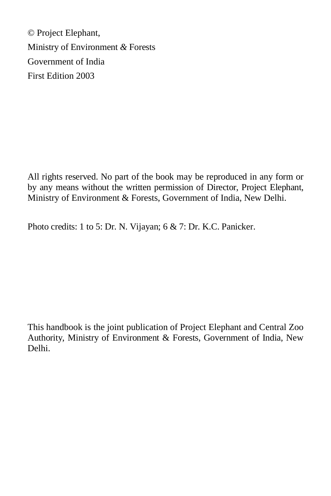© Project Elephant, Ministry of Environment *&* Forests Government of India First Edition 2003

All rights reserved. No part of the book may be reproduced in any form or by any means without the written permission of Director, Project Elephant, Ministry of Environment & Forests, Government of India, New Delhi.

Photo credits: 1 to 5: Dr. N. Vijayan; 6 & 7: Dr. K.C. Panicker.

This handbook is the joint publication of Project Elephant and Central Zoo Authority, Ministry of Environment & Forests, Government of India, New Delhi.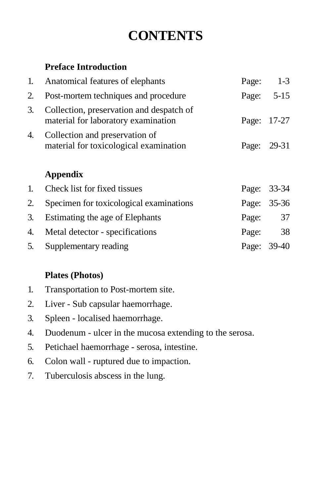# **CONTENTS**

## **Preface Introduction**

| 1. | Anatomical features of elephants                                                | Page: | $1-3$       |
|----|---------------------------------------------------------------------------------|-------|-------------|
| 2. | Post-mortem techniques and procedure                                            | Page: | $5-15$      |
| 3. | Collection, preservation and despatch of<br>material for laboratory examination | Page: | 17-27       |
| 4. | Collection and preservation of<br>material for toxicological examination        | Page: | 29-31       |
|    | <b>Appendix</b>                                                                 |       |             |
| 1. | Check list for fixed tissues                                                    | Page: | $33 - 34$   |
| 2. | Specimen for toxicological examinations                                         | Page: | $35 - 36$   |
| 3. | Estimating the age of Elephants                                                 | Page: | 37          |
| 4. | Metal detector - specifications                                                 | Page: | 38          |
| 5. | Supplementary reading                                                           |       | Page: 39-40 |

# **Plates (Photos)**

- 1. Transportation to Post-mortem site.
- 2. Liver Sub capsular haemorrhage.
- 3. Spleen localised haemorrhage.
- 4. Duodenum ulcer in the mucosa extending to the serosa.
- 5. Petichael haemorrhage serosa, intestine.
- 6. Colon wall ruptured due to impaction.
- 7. Tuberculosis abscess in the lung.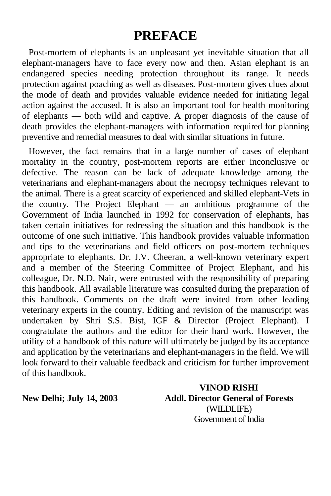# **PREFACE**

Post-mortem of elephants is an unpleasant yet inevitable situation that all elephant-managers have to face every now and then. Asian elephant is an endangered species needing protection throughout its range. It needs protection against poaching as well as diseases. Post-mortem gives clues about the mode of death and provides valuable evidence needed for initiating legal action against the accused. It is also an important tool for health monitoring of elephants — both wild and captive. A proper diagnosis of the cause of death provides the elephant-managers with information required for planning preventive and remedial measures to deal with similar situations in future.

However, the fact remains that in a large number of cases of elephant mortality in the country, post-mortem reports are either inconclusive or defective. The reason can be lack of adequate knowledge among the veterinarians and elephant-managers about the necropsy techniques relevant to the animal. There is a great scarcity of experienced and skilled elephant-Vets in the country. The Project Elephant — an ambitious programme of the Government of India launched in 1992 for conservation of elephants, has taken certain initiatives for redressing the situation and this handbook is the outcome of one such initiative. This handbook provides valuable information and tips to the veterinarians and field officers on post-mortem techniques appropriate to elephants. Dr. J.V. Cheeran, a well-known veterinary expert and a member of the Steering Committee of Project Elephant, and his colleague, Dr. N.D. Nair, were entrusted with the responsibility of preparing this handbook. All available literature was consulted during the preparation of this handbook. Comments on the draft were invited from other leading veterinary experts in the country. Editing and revision of the manuscript was undertaken by Shri S.S. Bist, IGF & Director (Project Elephant). I congratulate the authors and the editor for their hard work. However, the utility of a handbook of this nature will ultimately be judged by its acceptance and application by the veterinarians and elephant-managers in the field. We will look forward to their valuable feedback and criticism for further improvement of this handbook.

**VINOD RISHI New Delhi; July 14, 2003 Addl. Director General of Forests** (WILDLIFE) Government of India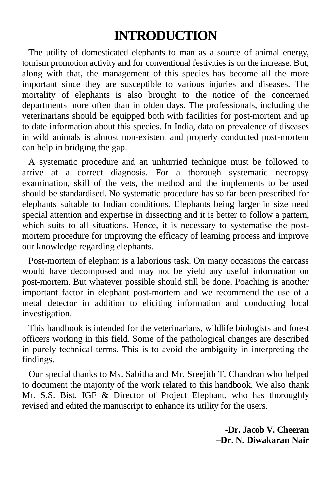# **INTRODUCTION**

The utility of domesticated elephants to man as a source of animal energy, tourism promotion activity and for conventional festivities is on the increase. But, along with that, the management of this species has become all the more important since they are susceptible to various injuries and diseases. The mortality of elephants is also brought to the notice of the concerned departments more often than in olden days. The professionals, including the veterinarians should be equipped both with facilities for post-mortem and up to date information about this species. In India, data on prevalence of diseases in wild animals is almost non-existent and properly conducted post-mortem can help in bridging the gap.

A systematic procedure and an unhurried technique must be followed to arrive at a correct diagnosis. For a thorough systematic necropsy examination, skill of the vets, the method and the implements to be used should be standardised. No systematic procedure has so far been prescribed for elephants suitable to Indian conditions. Elephants being larger in size need special attention and expertise in dissecting and it is better to follow a pattern, which suits to all situations. Hence, it is necessary to systematise the postmortem procedure for improving the efficacy of learning process and improve our knowledge regarding elephants.

Post-mortem of elephant is a laborious task. On many occasions the carcass would have decomposed and may not be yield any useful information on post-mortem. But whatever possible should still be done. Poaching is another important factor in elephant post-mortem and we recommend the use of a metal detector in addition to eliciting information and conducting local investigation.

This handbook is intended for the veterinarians, wildlife biologists and forest officers working in this field. Some of the pathological changes are described in purely technical terms. This is to avoid the ambiguity in interpreting the findings.

Our special thanks to Ms. Sabitha and Mr. Sreejith T. Chandran who helped to document the majority of the work related to this handbook. We also thank Mr. S.S. Bist, IGF & Director of Project Elephant, who has thoroughly revised and edited the manuscript to enhance its utility for the users.

> **-Dr. Jacob V. Cheeran –Dr. N. Diwakaran Nair**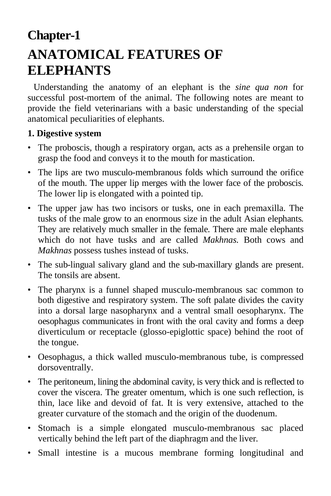# **Chapter-1 ANATOMICAL FEATURES OF ELEPHANTS**

Understanding the anatomy of an elephant is the *sine qua non* for successful post-mortem of the animal. The following notes are meant to provide the field veterinarians with a basic understanding of the special anatomical peculiarities of elephants.

#### **1. Digestive system**

- The proboscis, though a respiratory organ, acts as a prehensile organ to grasp the food and conveys it to the mouth for mastication.
- The lips are two musculo-membranous folds which surround the orifice of the mouth. The upper lip merges with the lower face of the proboscis. The lower lip is elongated with a pointed tip.
- The upper jaw has two incisors or tusks, one in each premaxilla. The tusks of the male grow to an enormous size in the adult Asian elephants. They are relatively much smaller in the female. There are male elephants which do not have tusks and are called *Makhnas.* Both cows and *Makhnas* possess tushes instead of tusks.
- The sub-lingual salivary gland and the sub-maxillary glands are present. The tonsils are absent.
- The pharynx is a funnel shaped musculo-membranous sac common to both digestive and respiratory system. The soft palate divides the cavity into a dorsal large nasopharynx and a ventral small oesopharynx. The oesophagus communicates in front with the oral cavity and forms a deep diverticulum or receptacle (glosso-epiglottic space) behind the root of the tongue.
- Oesophagus, a thick walled musculo-membranous tube, is compressed dorsoventrally.
- The peritoneum, lining the abdominal cavity, is very thick and is reflected to cover the viscera. The greater omentum, which is one such reflection, is thin, lace like and devoid of fat. It is very extensive, attached to the greater curvature of the stomach and the origin of the duodenum.
- Stomach is a simple elongated musculo-membranous sac placed vertically behind the left part of the diaphragm and the liver.
- Small intestine is a mucous membrane forming longitudinal and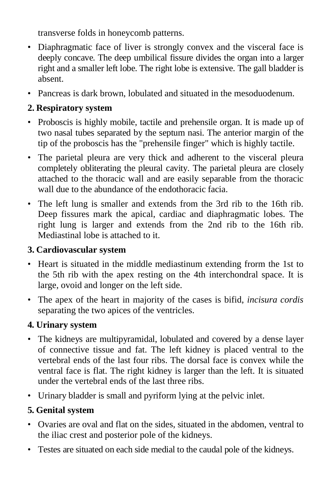transverse folds in honeycomb patterns.

- Diaphragmatic face of liver is strongly convex and the visceral face is deeply concave. The deep umbilical fissure divides the organ into a larger right and a smaller left lobe. The right lobe is extensive. The gall bladder is absent.
- Pancreas is dark brown, lobulated and situated in the mesoduodenum.

## **2. Respiratory system**

- Proboscis is highly mobile, tactile and prehensile organ. It is made up of two nasal tubes separated by the septum nasi. The anterior margin of the tip of the proboscis has the "prehensile finger" which is highly tactile.
- The parietal pleura are very thick and adherent to the visceral pleura completely obliterating the pleural cavity. The parietal pleura are closely attached to the thoracic wall and are easily separable from the thoracic wall due to the abundance of the endothoracic facia.
- The left lung is smaller and extends from the 3rd rib to the 16th rib. Deep fissures mark the apical, cardiac and diaphragmatic lobes. The right lung is larger and extends from the 2nd rib to the 16th rib. Mediastinal lobe is attached to it.

## **3. Cardiovascular system**

- Heart is situated in the middle mediastinum extending frorm the 1st to the 5th rib with the apex resting on the 4th interchondral space. It is large, ovoid and longer on the left side.
- The apex of the heart in majority of the cases is bifid, *incisura cordis*  separating the two apices of the ventricles.

## **4. Urinary system**

- The kidneys are multipyramidal, lobulated and covered by a dense layer of connective tissue and fat. The left kidney is placed ventral to the vertebral ends of the last four ribs. The dorsal face is convex while the ventral face is flat. The right kidney is larger than the left. It is situated under the vertebral ends of the last three ribs.
- Urinary bladder is small and pyriform lying at the pelvic inlet.

# **5. Genital system**

- Ovaries are oval and flat on the sides, situated in the abdomen, ventral to the iliac crest and posterior pole of the kidneys.
- Testes are situated on each side medial to the caudal pole of the kidneys.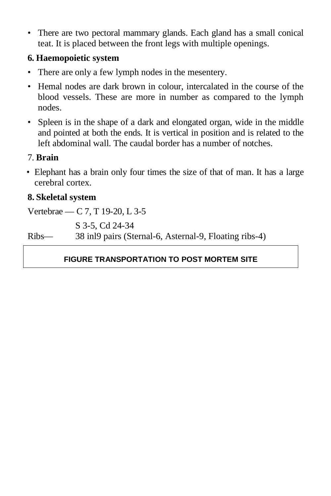• There are two pectoral mammary glands. Each gland has a small conical teat. It is placed between the front legs with multiple openings.

### **6. Haemopoietic system**

- There are only a few lymph nodes in the mesentery.
- Hemal nodes are dark brown in colour, intercalated in the course of the blood vessels. These are more in number as compared to the lymph nodes.
- Spleen is in the shape of a dark and elongated organ, wide in the middle and pointed at both the ends. It is vertical in position and is related to the left abdominal wall. The caudal border has a number of notches.

## 7. **Brain**

• Elephant has a brain only four times the size of that of man. It has a large cerebral cortex.

## **8. Skeletal system**

Vertebrae — C 7, T 19-20, L 3-5

S 3-5, Cd 24-34

Ribs— 38 inl9 pairs (Sternal-6, Asternal-9, Floating ribs-4)

## **FIGURE TRANSPORTATION TO POST MORTEM SITE**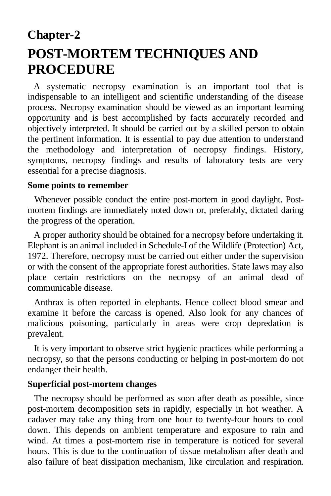# **Chapter-2 POST-MORTEM TECHNIQUES AND PROCEDURE**

A systematic necropsy examination is an important tool that is indispensable to an intelligent and scientific understanding of the disease process. Necropsy examination should be viewed as an important learning opportunity and is best accomplished by facts accurately recorded and objectively interpreted. It should be carried out by a skilled person to obtain the pertinent information. It is essential to pay due attention to understand the methodology and interpretation of necropsy findings. History, symptoms, necropsy findings and results of laboratory tests are very essential for a precise diagnosis.

#### **Some points to remember**

Whenever possible conduct the entire post-mortem in good daylight. Postmortem findings are immediately noted down or, preferably, dictated daring the progress of the operation.

A proper authority should be obtained for a necropsy before undertaking it. Elephant is an animal included in Schedule-I of the Wildlife (Protection) Act, 1972. Therefore, necropsy must be carried out either under the supervision or with the consent of the appropriate forest authorities. State laws may also place certain restrictions on the necropsy of an animal dead of communicable disease.

Anthrax is often reported in elephants. Hence collect blood smear and examine it before the carcass is opened. Also look for any chances of malicious poisoning, particularly in areas were crop depredation is prevalent.

It is very important to observe strict hygienic practices while performing a necropsy, so that the persons conducting or helping in post-mortem do not endanger their health.

#### **Superficial post-mortem changes**

The necropsy should be performed as soon after death as possible, since post-mortem decomposition sets in rapidly, especially in hot weather. A cadaver may take any thing from one hour to twenty-four hours to cool down. This depends on ambient temperature and exposure to rain and wind. At times a post-mortem rise in temperature is noticed for several hours. This is due to the continuation of tissue metabolism after death and also failure of heat dissipation mechanism, like circulation and respiration.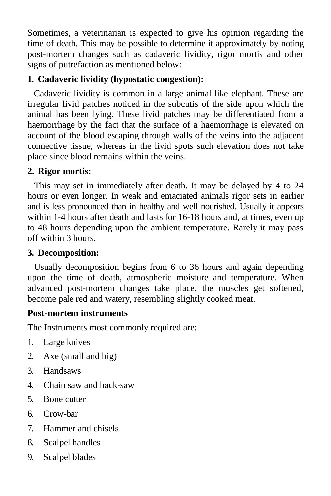Sometimes, a veterinarian is expected to give his opinion regarding the time of death. This may be possible to determine it approximately by noting post-mortem changes such as cadaveric lividity, rigor mortis and other signs of putrefaction as mentioned below:

### **1. Cadaveric lividity (hypostatic congestion):**

Cadaveric lividity is common in a large animal like elephant. These are irregular livid patches noticed in the subcutis of the side upon which the animal has been lying. These livid patches may be differentiated from a haemorrhage by the fact that the surface of a haemorrhage is elevated on account of the blood escaping through walls of the veins into the adjacent connective tissue, whereas in the livid spots such elevation does not take place since blood remains within the veins.

### **2. Rigor mortis:**

This may set in immediately after death. It may be delayed by 4 to 24 hours or even longer. In weak and emaciated animals rigor sets in earlier and is less pronounced than in healthy and well nourished. Usually it appears within 1-4 hours after death and lasts for 16-18 hours and, at times, even up to 48 hours depending upon the ambient temperature. Rarely it may pass off within 3 hours.

### **3. Decomposition:**

Usually decomposition begins from 6 to 36 hours and again depending upon the time of death, atmospheric moisture and temperature. When advanced post-mortem changes take place, the muscles get softened, become pale red and watery, resembling slightly cooked meat.

### **Post-mortem instruments**

The Instruments most commonly required are:

- 1. Large knives
- 2. Axe (small and big)
- 3. Handsaws
- 4. Chain saw and hack-saw
- 5. Bone cutter
- 6. Crow-bar
- 7. Hammer and chisels
- 8. Scalpel handles
- 9. Scalpel blades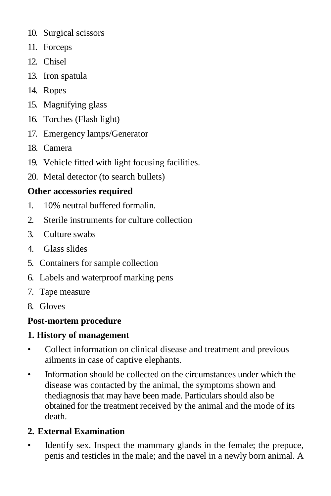- 10. Surgical scissors
- 11. Forceps
- 12. Chisel
- 13. Iron spatula
- 14. Ropes
- 15. Magnifying glass
- 16. Torches (Flash light)
- 17. Emergency lamps/Generator
- 18. Camera
- 19. Vehicle fitted with light focusing facilities.
- 20. Metal detector (to search bullets)

# **Other accessories required**

- 1. 10% neutral buffered formalin.
- 2. Sterile instruments for culture collection
- 3. Culture swabs
- 4. Glass slides
- 5. Containers for sample collection
- 6. Labels and waterproof marking pens
- 7. Tape measure
- 8. Gloves

# **Post-mortem procedure**

# **1. History of management**

- Collect information on clinical disease and treatment and previous ailments in case of captive elephants.
- Information should be collected on the circumstances under which the disease was contacted by the animal, the symptoms shown and thediagnosis that may have been made. Particulars should also be obtained for the treatment received by the animal and the mode of its death.

# **2. External Examination**

Identify sex. Inspect the mammary glands in the female; the prepuce, penis and testicles in the male; and the navel in a newly born animal. A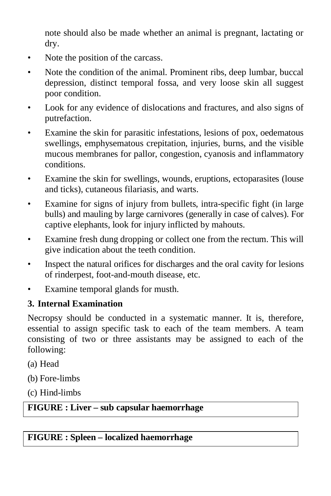note should also be made whether an animal is pregnant, lactating or dry.

- Note the position of the carcass.
- Note the condition of the animal. Prominent ribs, deep lumbar, buccal depression, distinct temporal fossa, and very loose skin all suggest poor condition.
- Look for any evidence of dislocations and fractures, and also signs of putrefaction.
- Examine the skin for parasitic infestations, lesions of pox, oedematous swellings, emphysematous crepitation, injuries, burns, and the visible mucous membranes for pallor, congestion, cyanosis and inflammatory conditions.
- Examine the skin for swellings, wounds, eruptions, ectoparasites (louse and ticks), cutaneous filariasis, and warts.
- Examine for signs of injury from bullets, intra-specific fight (in large bulls) and mauling by large carnivores (generally in case of calves). For captive elephants, look for injury inflicted by mahouts.
- Examine fresh dung dropping or collect one from the rectum. This will give indication about the teeth condition.
- Inspect the natural orifices for discharges and the oral cavity for lesions of rinderpest, foot-and-mouth disease, etc.
- Examine temporal glands for musth.

## **3. Internal Examination**

Necropsy should be conducted in a systematic manner. It is, therefore, essential to assign specific task to each of the team members. A team consisting of two or three assistants may be assigned to each of the following:

- (a) Head
- (b) Fore-limbs
- (c) Hind-limbs

## **FIGURE : Liver – sub capsular haemorrhage**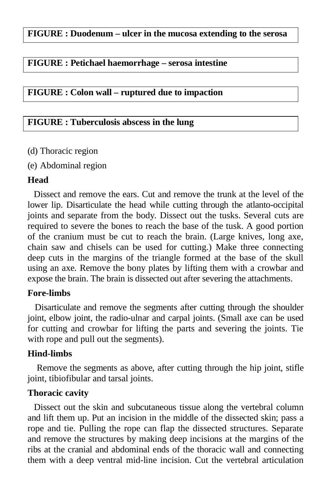#### **FIGURE : Duodenum – ulcer in the mucosa extending to the serosa**

#### **FIGURE : Petichael haemorrhage – serosa intestine**

#### **FIGURE : Colon wall – ruptured due to impaction**

#### **FIGURE : Tuberculosis abscess in the lung**

- (d) Thoracic region
- (e) Abdominal region

#### **Head**

Dissect and remove the ears. Cut and remove the trunk at the level of the lower lip. Disarticulate the head while cutting through the atlanto-occipital joints and separate from the body. Dissect out the tusks. Several cuts are required to severe the bones to reach the base of the tusk. A good portion of the cranium must be cut to reach the brain. (Large knives, long axe, chain saw and chisels can be used for cutting.) Make three connecting deep cuts in the margins of the triangle formed at the base of the skull using an axe. Remove the bony plates by lifting them with a crowbar and expose the brain. The brain is dissected out after severing the attachments.

#### **Fore-limbs**

Disarticulate and remove the segments after cutting through the shoulder joint, elbow joint, the radio-ulnar and carpal joints. (Small axe can be used for cutting and crowbar for lifting the parts and severing the joints. Tie with rope and pull out the segments).

#### **Hind-limbs**

Remove the segments as above, after cutting through the hip joint, stifle joint, tibiofibular and tarsal joints.

#### **Thoracic cavity**

Dissect out the skin and subcutaneous tissue along the vertebral column and lift them up. Put an incision in the middle of the dissected skin; pass a rope and tie. Pulling the rope can flap the dissected structures. Separate and remove the structures by making deep incisions at the margins of the ribs at the cranial and abdominal ends of the thoracic wall and connecting them with a deep ventral mid-line incision. Cut the vertebral articulation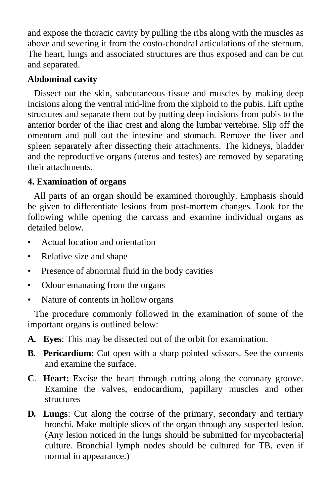and expose the thoracic cavity by pulling the ribs along with the muscles as above and severing it from the costo-chondral articulations of the sternum. The heart, lungs and associated structures are thus exposed and can be cut and separated.

### **Abdominal cavity**

Dissect out the skin, subcutaneous tissue and muscles by making deep incisions along the ventral mid-line from the xiphoid to the pubis. Lift upthe structures and separate them out by putting deep incisions from pubis to the anterior border of the iliac crest and along the lumbar vertebrae. Slip off the omentum and pull out the intestine and stomach. Remove the liver and spleen separately after dissecting their attachments. The kidneys, bladder and the reproductive organs (uterus and testes) are removed by separating their attachments.

#### **4. Examination of organs**

All parts of an organ should be examined thoroughly. Emphasis should be given to differentiate lesions from post-mortem changes. Look for the following while opening the carcass and examine individual organs as detailed below.

- Actual location and orientation
- Relative size and shape
- Presence of abnormal fluid in the body cavities
- Odour emanating from the organs
- Nature of contents in hollow organs

The procedure commonly followed in the examination of some of the important organs is outlined below:

- **A. Eyes**: This may be dissected out of the orbit for examination.
- **B.** Pericardium: Cut open with a sharp pointed scissors. See the contents and examine the surface.
- **C**. **Heart:** Excise the heart through cutting along the coronary groove. Examine the valves, endocardium, papillary muscles and other structures
- **D. Lungs**: Cut along the course of the primary, secondary and tertiary bronchi. Make multiple slices of the organ through any suspected lesion. (Any lesion noticed in the lungs should be submitted for mycobacteria] culture. Bronchial lymph nodes should be cultured for TB. even if normal in appearance.)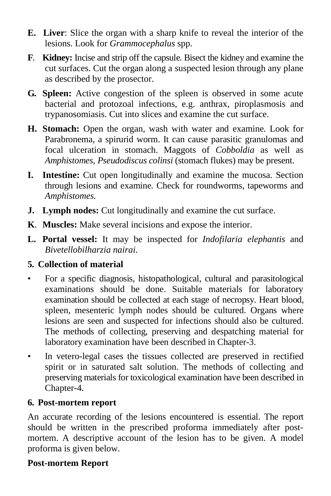- **E. Liver**: Slice the organ with a sharp knife to reveal the interior of the lesions. Look for *Grammocephalus* spp.
- **F**. **Kidney:** Incise and strip off the capsule. Bisect the kidney and examine the cut surfaces. Cut the organ along a suspected lesion through any plane as described by the prosector.
- **G. Spleen:** Active congestion of the spleen is observed in some acute bacterial and protozoal infections, e.g. anthrax, piroplasmosis and trypanosomiasis. Cut into slices and examine the cut surface.
- **H. Stomach:** Open the organ, wash with water and examine. Look for Parabronema, a spirurid worm. It can cause parasitic granulomas and focal ulceration in stomach. Maggots of *Cobboldia* as well as *Amphistomes, Pseudodiscus colinsi* (stomach flukes) may be present.
- **I. Intestine:** Cut open longitudinally and examine the mucosa. Section through lesions and examine. Check for roundworms, tapeworms and *Amphistomes.*
- **J.** Lymph nodes: Cut longitudinally and examine the cut surface.
- **K**. **Muscles:** Make several incisions and expose the interior.
- **L. Portal vessel:** It may be inspected for *Indofilaria elephantis* and *Bivetellobilharzia nairai.*

# **5. Collection of material**

- For a specific diagnosis, histopathological, cultural and parasitological examinations should be done. Suitable materials for laboratory examination should be collected at each stage of necropsy. Heart blood, spleen, mesenteric lymph nodes should be cultured. Organs where lesions are seen and suspected for infections should also be cultured. The methods of collecting, preserving and despatching material for laboratory examination have been described in Chapter-3.
- In vetero-legal cases the tissues collected are preserved in rectified spirit or in saturated salt solution. The methods of collecting and preserving materials for toxicological examination have been described in Chapter-4.

### **6. Post-mortem report**

An accurate recording of the lesions encountered is essential. The report should be written in the prescribed proforma immediately after postmortem. A descriptive account of the lesion has to be given. A model proforma is given below.

# **Post-mortem Report**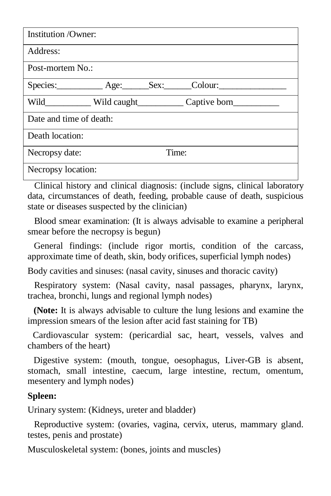| <b>Institution</b> / Owner: |  |  |              |  |
|-----------------------------|--|--|--------------|--|
| Address:                    |  |  |              |  |
| Post-mortem No.:            |  |  |              |  |
| Species: Age: Sex: Colour:  |  |  |              |  |
| Wild                        |  |  | Captive born |  |
| Date and time of death:     |  |  |              |  |
| Death location:             |  |  |              |  |
| Time:<br>Necropsy date:     |  |  |              |  |
| Necropsy location:          |  |  |              |  |

Clinical history and clinical diagnosis: (include signs, clinical laboratory data, circumstances of death, feeding, probable cause of death, suspicious state or diseases suspected by the clinician)

Blood smear examination: (It is always advisable to examine a peripheral smear before the necropsy is begun)

General findings: (include rigor mortis, condition of the carcass, approximate time of death, skin, body orifices, superficial lymph nodes)

Body cavities and sinuses: (nasal cavity, sinuses and thoracic cavity)

Respiratory system: (Nasal cavity, nasal passages, pharynx, larynx, trachea, bronchi, lungs and regional lymph nodes)

**(Note:** It is always advisable to culture the lung lesions and examine the impression smears of the lesion after acid fast staining for TB)

Cardiovascular system: (pericardial sac, heart, vessels, valves and chambers of the heart)

Digestive system: (mouth, tongue, oesophagus, Liver-GB is absent, stomach, small intestine, caecum, large intestine, rectum, omentum, mesentery and lymph nodes)

#### **Spleen:**

Urinary system: (Kidneys, ureter and bladder)

Reproductive system: (ovaries, vagina, cervix, uterus, mammary gland. testes, penis and prostate)

Musculoskeletal system: (bones, joints and muscles)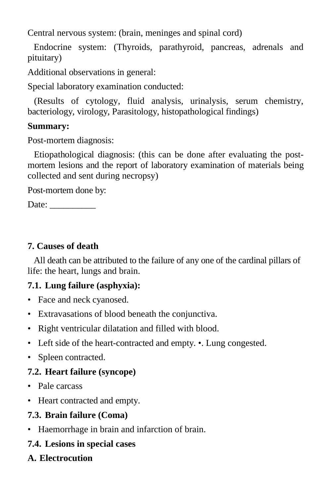Central nervous system: (brain, meninges and spinal cord)

Endocrine system: (Thyroids, parathyroid, pancreas, adrenals and pituitary)

Additional observations in general:

Special laboratory examination conducted:

(Results of cytology, fluid analysis, urinalysis, serum chemistry, bacteriology, virology, Parasitology, histopathological findings)

### **Summary:**

Post-mortem diagnosis:

Etiopathological diagnosis: (this can be done after evaluating the postmortem lesions and the report of laboratory examination of materials being collected and sent during necropsy)

Post-mortem done by:

Date: \_\_\_\_\_\_\_\_\_\_

### **7. Causes of death**

All death can be attributed to the failure of any one of the cardinal pillars of life: the heart, lungs and brain.

# **7.1. Lung failure (asphyxia):**

- Face and neck cyanosed.
- Extravasations of blood beneath the conjunctiva.
- Right ventricular dilatation and filled with blood.
- Left side of the heart-contracted and empty. Lung congested.
- Spleen contracted.

# **7.2. Heart failure (syncope)**

- Pale carcass
- Heart contracted and empty.

# **7.3. Brain failure (Coma)**

• Haemorrhage in brain and infarction of brain.

# **7.4. Lesions in special cases**

# **A. Electrocution**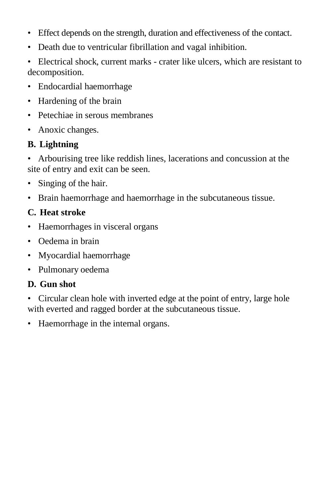- Effect depends on the strength, duration and effectiveness of the contact.
- Death due to ventricular fibrillation and vagal inhibition.
- Electrical shock, current marks crater like ulcers, which are resistant to decomposition.
- Endocardial haemorrhage
- Hardening of the brain
- Petechiae in serous membranes
- Anoxic changes.

# **B. Lightning**

• Arbourising tree like reddish lines, lacerations and concussion at the site of entry and exit can be seen.

- Singing of the hair.
- Brain haemorrhage and haemorrhage in the subcutaneous tissue.

# **C. Heat stroke**

- Haemorrhages in visceral organs
- Oedema in brain
- Myocardial haemorrhage
- Pulmonary oedema

# **D. Gun shot**

- Circular clean hole with inverted edge at the point of entry, large hole with everted and ragged border at the subcutaneous tissue.
- Haemorrhage in the internal organs.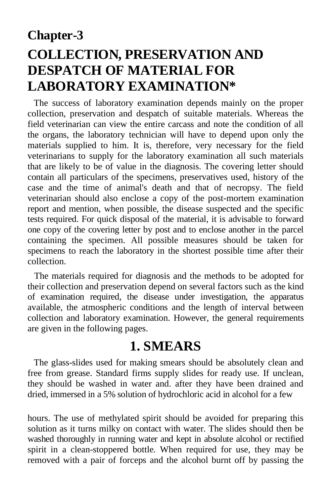# **Chapter-3 COLLECTION, PRESERVATION AND DESPATCH OF MATERIAL FOR LABORATORY EXAMINATION\***

The success of laboratory examination depends mainly on the proper collection, preservation and despatch of suitable materials. Whereas the field veterinarian can view the entire carcass and note the condition of all the organs, the laboratory technician will have to depend upon only the materials supplied to him. It is, therefore, very necessary for the field veterinarians to supply for the laboratory examination all such materials that are likely to be of value in the diagnosis. The covering letter should contain all particulars of the specimens, preservatives used, history of the case and the time of animal's death and that of necropsy. The field veterinarian should also enclose a copy of the post-mortem examination report and mention, when possible, the disease suspected and the specific tests required. For quick disposal of the material, it is advisable to forward one copy of the covering letter by post and to enclose another in the parcel containing the specimen. All possible measures should be taken for specimens to reach the laboratory in the shortest possible time after their collection.

The materials required for diagnosis and the methods to be adopted for their collection and preservation depend on several factors such as the kind of examination required, the disease under investigation, the apparatus available, the atmospheric conditions and the length of interval between collection and laboratory examination. However, the general requirements are given in the following pages.

# **1. SMEARS**

The glass-slides used for making smears should be absolutely clean and free from grease. Standard firms supply slides for ready use. If unclean, they should be washed in water and. after they have been drained and dried, immersed in a 5% solution of hydrochloric acid in alcohol for a few

hours. The use of methylated spirit should be avoided for preparing this solution as it turns milky on contact with water. The slides should then be washed thoroughly in running water and kept in absolute alcohol or rectified spirit in a clean-stoppered bottle. When required for use, they may be removed with a pair of forceps and the alcohol burnt off by passing the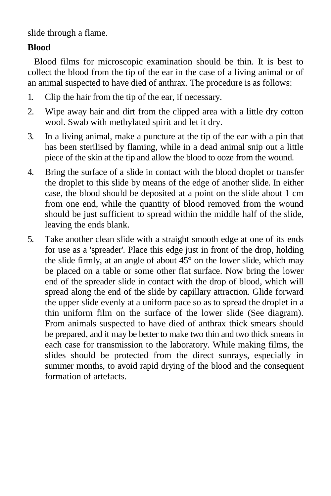slide through a flame.

## **Blood**

Blood films for microscopic examination should be thin. It is best to collect the blood from the tip of the ear in the case of a living animal or of an animal suspected to have died of anthrax. The procedure is as follows:

- 1. Clip the hair from the tip of the ear, if necessary.
- 2. Wipe away hair and dirt from the clipped area with a little dry cotton wool. Swab with methylated spirit and let it dry.
- 3. In a living animal, make a puncture at the tip of the ear with a pin that has been sterilised by flaming, while in a dead animal snip out a little piece of the skin at the tip and allow the blood to ooze from the wound.
- 4. Bring the surface of a slide in contact with the blood droplet or transfer the droplet to this slide by means of the edge of another slide. In either case, the blood should be deposited at a point on the slide about 1 cm from one end, while the quantity of blood removed from the wound should be just sufficient to spread within the middle half of the slide, leaving the ends blank.
- 5. Take another clean slide with a straight smooth edge at one of its ends for use as a 'spreader'. Place this edge just in front of the drop, holding the slide firmly, at an angle of about  $45^{\circ}$  on the lower slide, which may be placed on a table or some other flat surface. Now bring the lower end of the spreader slide in contact with the drop of blood, which will spread along the end of the slide by capillary attraction. Glide forward the upper slide evenly at a uniform pace so as to spread the droplet in a thin uniform film on the surface of the lower slide (See diagram). From animals suspected to have died of anthrax thick smears should be prepared, and it may be better to make two thin and two thick smears in each case for transmission to the laboratory. While making films, the slides should be protected from the direct sunrays, especially in summer months, to avoid rapid drying of the blood and the consequent formation of artefacts.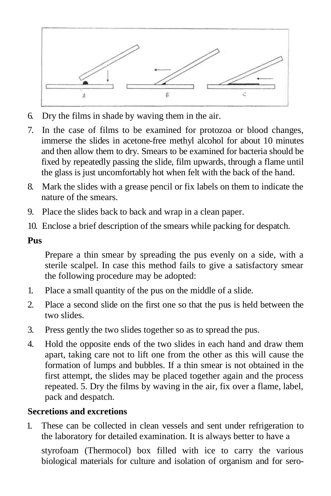

- 6. Dry the films in shade by waving them in the air.
- 7. In the case of films to be examined for protozoa or blood changes, immerse the slides in acetone-free methyl alcohol for about 10 minutes and then allow them to dry. Smears to be examined for bacteria should be fixed by repeatedly passing the slide, film upwards, through a flame until the glass is just uncomfortably hot when felt with the back of the hand.
- 8. Mark the slides with a grease pencil or fix labels on them to indicate the nature of the smears.
- 9. Place the slides back to back and wrap in a clean paper.
- 10. Enclose a brief description of the smears while packing for despatch.

### **Pus**

Prepare a thin smear by spreading the pus evenly on a side, with a sterile scalpel. In case this method fails to give a satisfactory smear the following procedure may be adopted:

- 1. Place a small quantity of the pus on the middle of a slide.
- 2. Place a second slide on the first one so that the pus is held between the two slides.
- 3. Press gently the two slides together so as to spread the pus.
- 4. Hold the opposite ends of the two slides in each hand and draw them apart, taking care not to lift one from the other as this will cause the formation of lumps and bubbles. If a thin smear is not obtained in the first attempt, the slides may be placed together again and the process repeated. 5. Dry the films by waving in the air, fix over a flame, label, pack and despatch.

## **Secretions and excretions**

1. These can be collected in clean vessels and sent under refrigeration to the laboratory for detailed examination. It is always better to have a

styrofoam (Thermocol) box filled with ice to carry the various biological materials for culture and isolation of organism and for sero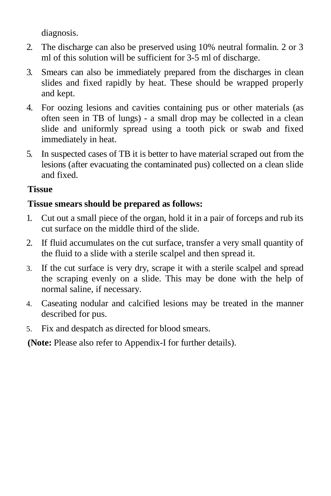diagnosis.

- 2. The discharge can also be preserved using 10% neutral formalin. 2 or 3 ml of this solution will be sufficient for 3-5 ml of discharge.
- 3. Smears can also be immediately prepared from the discharges in clean slides and fixed rapidly by heat. These should be wrapped properly and kept.
- 4. For oozing lesions and cavities containing pus or other materials (as often seen in TB of lungs) - a small drop may be collected in a clean slide and uniformly spread using a tooth pick or swab and fixed immediately in heat.
- 5. In suspected cases of TB it is better to have material scraped out from the lesions (after evacuating the contaminated pus) collected on a clean slide and fixed.

## **Tissue**

# **Tissue smears should be prepared as follows:**

- 1. Cut out a small piece of the organ, hold it in a pair of forceps and rub its cut surface on the middle third of the slide.
- 2. If fluid accumulates on the cut surface, transfer a very small quantity of the fluid to a slide with a sterile scalpel and then spread it.
- 3. If the cut surface is very dry, scrape it with a sterile scalpel and spread the scraping evenly on a slide. This may be done with the help of normal saline, if necessary.
- 4. Caseating nodular and calcified lesions may be treated in the manner described for pus.
- 5. Fix and despatch as directed for blood smears.

**(Note:** Please also refer to Appendix-I for further details).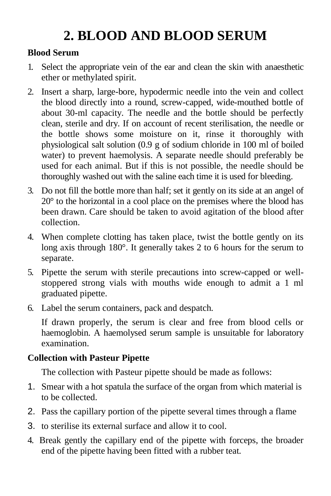# **2. BLOOD AND BLOOD SERUM**

### **Blood Serum**

- 1. Select the appropriate vein of the ear and clean the skin with anaesthetic ether or methylated spirit.
- 2. Insert a sharp, large-bore, hypodermic needle into the vein and collect the blood directly into a round, screw-capped, wide-mouthed bottle of about 30-ml capacity. The needle and the bottle should be perfectly clean, sterile and dry. If on account of recent sterilisation, the needle or the bottle shows some moisture on it, rinse it thoroughly with physiological salt solution (0.9 g of sodium chloride in 100 ml of boiled water) to prevent haemolysis. A separate needle should preferably be used for each animal. But if this is not possible, the needle should be thoroughly washed out with the saline each time it is used for bleeding.
- 3. Do not fill the bottle more than half; set it gently on its side at an angel of 20° to the horizontal in a cool place on the premises where the blood has been drawn. Care should be taken to avoid agitation of the blood after collection.
- 4. When complete clotting has taken place, twist the bottle gently on its long axis through 180°. It generally takes 2 to 6 hours for the serum to separate.
- 5. Pipette the serum with sterile precautions into screw-capped or wellstoppered strong vials with mouths wide enough to admit a 1 ml graduated pipette.
- 6. Label the serum containers, pack and despatch.

If drawn properly, the serum is clear and free from blood cells or haemoglobin. A haemolysed serum sample is unsuitable for laboratory examination.

## **Collection with Pasteur Pipette**

The collection with Pasteur pipette should be made as follows:

- 1. Smear with a hot spatula the surface of the organ from which material is to be collected.
- 2. Pass the capillary portion of the pipette several times through a flame
- 3. to sterilise its external surface and allow it to cool.
- 4. Break gently the capillary end of the pipette with forceps, the broader end of the pipette having been fitted with a rubber teat.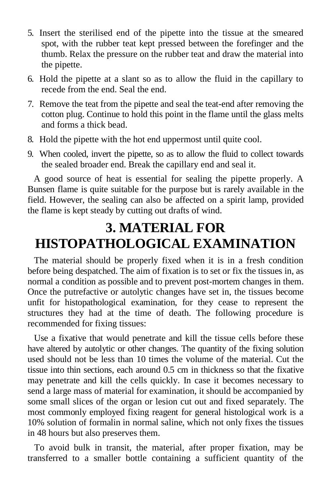- 5. Insert the sterilised end of the pipette into the tissue at the smeared spot, with the rubber teat kept pressed between the forefinger and the thumb. Relax the pressure on the rubber teat and draw the material into the pipette.
- 6. Hold the pipette at a slant so as to allow the fluid in the capillary to recede from the end. Seal the end.
- 7. Remove the teat from the pipette and seal the teat-end after removing the cotton plug. Continue to hold this point in the flame until the glass melts and forms a thick bead.
- 8. Hold the pipette with the hot end uppermost until quite cool.
- 9. When cooled, invert the pipette, so as to allow the fluid to collect towards the sealed broader end. Break the capillary end and seal it.

A good source of heat is essential for sealing the pipette properly. A Bunsen flame is quite suitable for the purpose but is rarely available in the field. However, the sealing can also be affected on a spirit lamp, provided the flame is kept steady by cutting out drafts of wind.

# **3. MATERIAL FOR HISTOPATHOLOGICAL EXAMINATION**

The material should be properly fixed when it is in a fresh condition before being despatched. The aim of fixation is to set or fix the tissues in, as normal a condition as possible and to prevent post-mortem changes in them. Once the putrefactive or autolytic changes have set in, the tissues become unfit for histopathological examination, for they cease to represent the structures they had at the time of death. The following procedure is recommended for fixing tissues:

Use a fixative that would penetrate and kill the tissue cells before these have altered by autolytic or other changes. The quantity of the fixing solution used should not be less than 10 times the volume of the material. Cut the tissue into thin sections, each around 0.5 cm in thickness so that the fixative may penetrate and kill the cells quickly. In case it becomes necessary to send a large mass of material for examination, it should be accompanied by some small slices of the organ or lesion cut out and fixed separately. The most commonly employed fixing reagent for general histological work is a 10% solution of formalin in normal saline, which not only fixes the tissues in 48 hours but also preserves them.

To avoid bulk in transit, the material, after proper fixation, may be transferred to a smaller bottle containing a sufficient quantity of the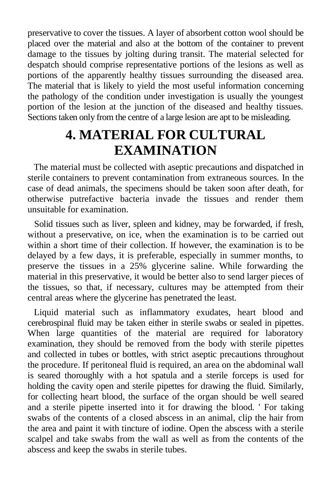preservative to cover the tissues. A layer of absorbent cotton wool should be placed over the material and also at the bottom of the container to prevent damage to the tissues by jolting during transit. The material selected for despatch should comprise representative portions of the lesions as well as portions of the apparently healthy tissues surrounding the diseased area. The material that is likely to yield the most useful information concerning the pathology of the condition under investigation is usually the youngest portion of the lesion at the junction of the diseased and healthy tissues. Sections taken only from the centre of a large lesion are apt to be misleading.

# **4. MATERIAL FOR CULTURAL EXAMINATION**

The material must be collected with aseptic precautions and dispatched in sterile containers to prevent contamination from extraneous sources. In the case of dead animals, the specimens should be taken soon after death, for otherwise putrefactive bacteria invade the tissues and render them unsuitable for examination.

Solid tissues such as liver, spleen and kidney, may be forwarded, if fresh, without a preservative, on ice, when the examination is to be carried out within a short time of their collection. If however, the examination is to be delayed by a few days, it is preferable, especially in summer months, to preserve the tissues in a 25% glycerine saline. While forwarding the material in this preservative, it would be better also to send larger pieces of the tissues, so that, if necessary, cultures may be attempted from their central areas where the glycerine has penetrated the least.

Liquid material such as inflammatory exudates, heart blood and cerebrospinal fluid may be taken either in sterile swabs or sealed in pipettes. When large quantities of the material are required for laboratory examination, they should be removed from the body with sterile pipettes and collected in tubes or bottles, with strict aseptic precautions throughout the procedure. If peritoneal fluid is required, an area on the abdominal wall is seared thoroughly with a hot spatula and a sterile forceps is used for holding the cavity open and sterile pipettes for drawing the fluid. Similarly, for collecting heart blood, the surface of the organ should be well seared and a sterile pipette inserted into it for drawing the blood. ' For taking swabs of the contents of a closed abscess in an animal, clip the hair from the area and paint it with tincture of iodine. Open the abscess with a sterile scalpel and take swabs from the wall as well as from the contents of the abscess and keep the swabs in sterile tubes.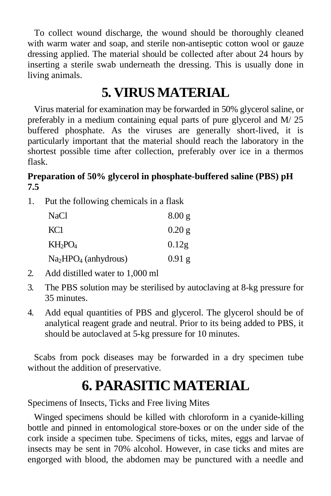To collect wound discharge, the wound should be thoroughly cleaned with warm water and soap, and sterile non-antiseptic cotton wool or gauze dressing applied. The material should be collected after about 24 hours by inserting a sterile swab underneath the dressing. This is usually done in living animals.

# **5. VIRUS MATERIAL**

Virus material for examination may be forwarded in 50% glycerol saline, or preferably in a medium containing equal parts of pure glycerol and  $M/25$ buffered phosphate. As the viruses are generally short-lived, it is particularly important that the material should reach the laboratory in the shortest possible time after collection, preferably over ice in a thermos flask.

#### **Preparation of 50% glycerol in phosphate-buffered saline (PBS) pH 7.5**

1. Put the following chemicals in a flask

| <b>NaCl</b>           | 8.00 g   |
|-----------------------|----------|
| KC <sub>1</sub>       | $0.20$ g |
| $KH_2PO_4$            | 0.12g    |
| $Na2HPO4$ (anhydrous) | $0.91$ g |

- 2. Add distilled water to 1,000 ml
- 3. The PBS solution may be sterilised by autoclaving at 8-kg pressure for 35 minutes.
- 4. Add equal quantities of PBS and glycerol. The glycerol should be of analytical reagent grade and neutral. Prior to its being added to PBS, it should be autoclaved at 5-kg pressure for 10 minutes.

Scabs from pock diseases may be forwarded in a dry specimen tube without the addition of preservative.

# **6. PARASITIC MATERIAL**

Specimens of Insects, Ticks and Free living Mites

Winged specimens should be killed with chloroform in a cyanide-killing bottle and pinned in entomological store-boxes or on the under side of the cork inside a specimen tube. Specimens of ticks, mites, eggs and larvae of insects may be sent in 70% alcohol. However, in case ticks and mites are engorged with blood, the abdomen may be punctured with a needle and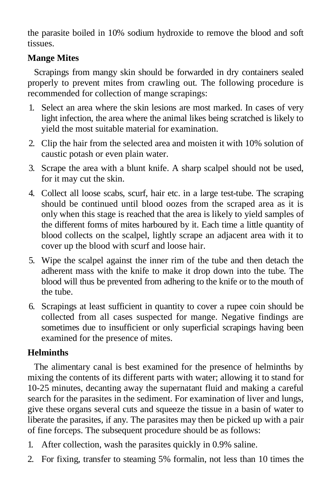the parasite boiled in 10% sodium hydroxide to remove the blood and soft tissues.

## **Mange Mites**

Scrapings from mangy skin should be forwarded in dry containers sealed properly to prevent mites from crawling out. The following procedure is recommended for collection of mange scrapings:

- 1. Select an area where the skin lesions are most marked. In cases of very light infection, the area where the animal likes being scratched is likely to yield the most suitable material for examination.
- 2. Clip the hair from the selected area and moisten it with 10% solution of caustic potash or even plain water.
- 3. Scrape the area with a blunt knife. A sharp scalpel should not be used, for it may cut the skin.
- 4. Collect all loose scabs, scurf, hair etc. in a large test-tube. The scraping should be continued until blood oozes from the scraped area as it is only when this stage is reached that the area is likely to yield samples of the different forms of mites harboured by it. Each time a little quantity of blood collects on the scalpel, lightly scrape an adjacent area with it to cover up the blood with scurf and loose hair.
- 5. Wipe the scalpel against the inner rim of the tube and then detach the adherent mass with the knife to make it drop down into the tube. The blood will thus be prevented from adhering to the knife or to the mouth of the tube.
- 6. Scrapings at least sufficient in quantity to cover a rupee coin should be collected from all cases suspected for mange. Negative findings are sometimes due to insufficient or only superficial scrapings having been examined for the presence of mites.

### **Helminths**

The alimentary canal is best examined for the presence of helminths by mixing the contents of its different parts with water; allowing it to stand for 10-25 minutes, decanting away the supernatant fluid and making a careful search for the parasites in the sediment. For examination of liver and lungs, give these organs several cuts and squeeze the tissue in a basin of water to liberate the parasites, if any. The parasites may then be picked up with a pair of fine forceps. The subsequent procedure should be as follows:

- 1. After collection, wash the parasites quickly in 0.9% saline.
- 2. For fixing, transfer to steaming 5% formalin, not less than 10 times the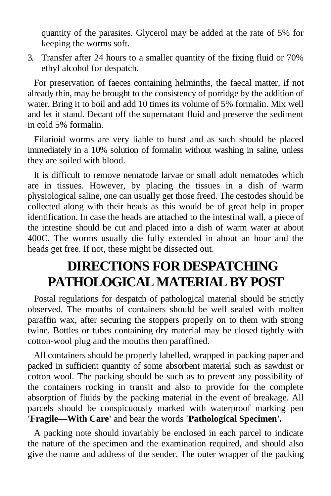quantity of the parasites. Glycerol may be added at the rate of 5% for keeping the worms soft.

3. Transfer after 24 hours to a smaller quantity of the fixing fluid or 70% ethyl alcohol for despatch.

For preservation of faeces containing helminths, the faecal matter, if not already thin, may be brought to the consistency of porridge by the addition of water. Bring it to boil and add 10 times its volume of 5% formalin. Mix well and let it stand. Decant off the supernatant fluid and preserve the sediment in cold 5% formalin.

Filarioid worms are very liable to burst and as such should be placed immediately in a 10% solution of formalin without washing in saline, unless they are soiled with blood.

It is difficult to remove nematode larvae or small adult nematodes which are in tissues. However, by placing the tissues in a dish of warm physiological saline, one can usually get those freed. The cestodes should be collected along with their heads as this would be of great help in proper identification. In case the heads are attached to the intestinal wall, a piece of the intestine should be cut and placed into a dish of warm water at about 400C. The worms usually die fully extended in about an hour and the heads get free. If not, these might be dissected out.

# **DIRECTIONS FOR DESPATCHING PATHOLOGICAL MATERIAL BY POST**

Postal regulations for despatch of pathological material should be strictly observed. The mouths of containers should be well sealed with molten paraffin wax, after securing the stoppers properly on to them with strong twine. Bottles or tubes containing dry material may be closed tightly with cotton-wool plug and the mouths then paraffined.

All containers should be properly labelled, wrapped in packing paper and packed in sufficient quantity of some absorbent material such as sawdust or cotton wool. The packing should be such as to prevent any possibility of the containers rocking in transit and also to provide for the complete absorption of fluids by the packing material in the event of breakage. All parcels should be conspicuously marked with waterproof marking pen **'Fragile**—**With Care'** and bear the words **'Pathological Specimen'.**

A packing note should invariably be enclosed in each parcel to indicate the nature of the specimen and the examination required, and should also give the name and address of the sender. The outer wrapper of the packing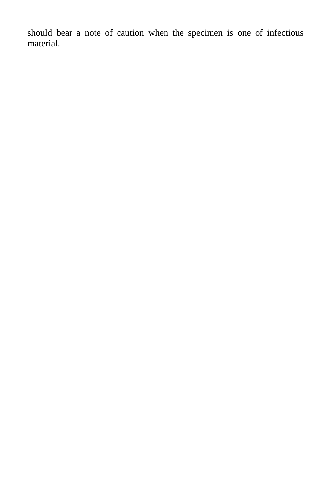should bear a note of caution when the specimen is one of infectious material.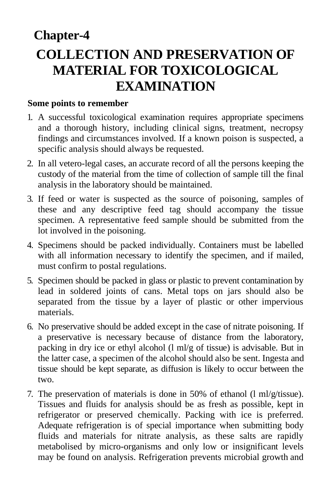# **Chapter-4 COLLECTION AND PRESERVATION OF MATERIAL FOR TOXICOLOGICAL EXAMINATION**

#### **Some points to remember**

- 1. A successful toxicological examination requires appropriate specimens and a thorough history, including clinical signs, treatment, necropsy findings and circumstances involved. If a known poison is suspected, a specific analysis should always be requested.
- 2. In all vetero-legal cases, an accurate record of all the persons keeping the custody of the material from the time of collection of sample till the final analysis in the laboratory should be maintained.
- 3. If feed or water is suspected as the source of poisoning, samples of these and any descriptive feed tag should accompany the tissue specimen. A representative feed sample should be submitted from the lot involved in the poisoning.
- 4. Specimens should be packed individually. Containers must be labelled with all information necessary to identify the specimen, and if mailed, must confirm to postal regulations.
- 5. Specimen should be packed in glass or plastic to prevent contamination by lead in soldered joints of cans. Metal tops on jars should also be separated from the tissue by a layer of plastic or other impervious materials.
- 6. No preservative should be added except in the case of nitrate poisoning. If a preservative is necessary because of distance from the laboratory, packing in dry ice or ethyl alcohol (l ml/g of tissue) is advisable. But in the latter case, a specimen of the alcohol should also be sent. Ingesta and tissue should be kept separate, as diffusion is likely to occur between the two.
- 7. The preservation of materials is done in 50% of ethanol (l ml/g/tissue). Tissues and fluids for analysis should be as fresh as possible, kept in refrigerator or preserved chemically. Packing with ice is preferred. Adequate refrigeration is of special importance when submitting body fluids and materials for nitrate analysis, as these salts are rapidly metabolised by micro-organisms and only low or insignificant levels may be found on analysis. Refrigeration prevents microbial growth and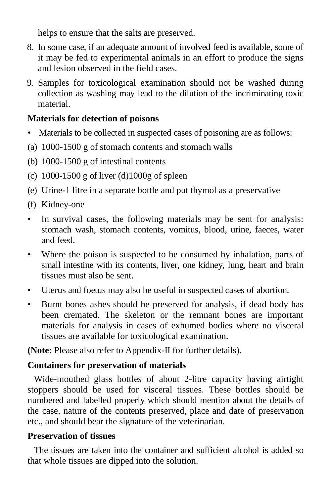helps to ensure that the salts are preserved.

- 8. In some case, if an adequate amount of involved feed is available, some of it may be fed to experimental animals in an effort to produce the signs and lesion observed in the field cases.
- 9. Samples for toxicological examination should not be washed during collection as washing may lead to the dilution of the incriminating toxic material.

### **Materials for detection of poisons**

- Materials to be collected in suspected cases of poisoning are as follows:
- (a) 1000-1500 g of stomach contents and stomach walls
- (b) 1000-1500 g of intestinal contents
- (c)  $1000-1500$  g of liver (d) $1000g$  of spleen
- (e) Urine-1 litre in a separate bottle and put thymol as a preservative
- (f) Kidney-one
- In survival cases, the following materials may be sent for analysis: stomach wash, stomach contents, vomitus, blood, urine, faeces, water and feed.
- Where the poison is suspected to be consumed by inhalation, parts of small intestine with its contents, liver, one kidney, lung, heart and brain tissues must also be sent.
- Uterus and foetus may also be useful in suspected cases of abortion.
- Burnt bones ashes should be preserved for analysis, if dead body has been cremated. The skeleton or the remnant bones are important materials for analysis in cases of exhumed bodies where no visceral tissues are available for toxicological examination.

**(Note:** Please also refer to Appendix-II for further details).

### **Containers for preservation of materials**

Wide-mouthed glass bottles of about 2-litre capacity having airtight stoppers should be used for visceral tissues. These bottles should be numbered and labelled properly which should mention about the details of the case, nature of the contents preserved, place and date of preservation etc., and should bear the signature of the veterinarian.

### **Preservation of tissues**

The tissues are taken into the container and sufficient alcohol is added so that whole tissues are dipped into the solution.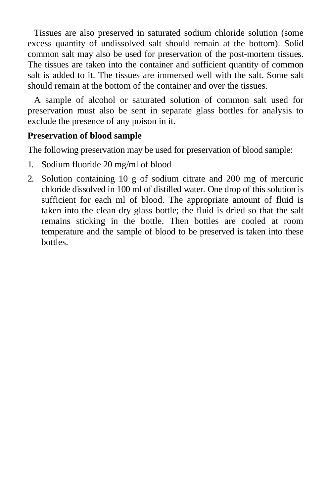Tissues are also preserved in saturated sodium chloride solution (some excess quantity of undissolved salt should remain at the bottom). Solid common salt may also be used for preservation of the post-mortem tissues. The tissues are taken into the container and sufficient quantity of common salt is added to it. The tissues are immersed well with the salt. Some salt should remain at the bottom of the container and over the tissues.

A sample of alcohol or saturated solution of common salt used for preservation must also be sent in separate glass bottles for analysis to exclude the presence of any poison in it.

#### **Preservation of blood sample**

The following preservation may be used for preservation of blood sample:

- 1. Sodium fluoride 20 mg/ml of blood
- 2. Solution containing 10 g of sodium citrate and 200 mg of mercuric chloride dissolved in 100 ml of distilled water. One drop of this solution is sufficient for each ml of blood. The appropriate amount of fluid is taken into the clean dry glass bottle; the fluid is dried so that the salt remains sticking in the bottle. Then bottles are cooled at room temperature and the sample of blood to be preserved is taken into these bottles.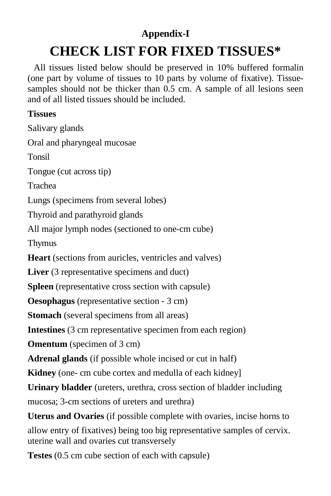# **Appendix-I**

# **CHECK LIST FOR FIXED TISSUES\***

All tissues listed below should be preserved in 10% buffered formalin (one part by volume of tissues to 10 parts by volume of fixative). Tissuesamples should not be thicker than 0.5 cm. A sample of all lesions seen and of all listed tissues should be included.

## **Tissues**

Salivary glands Oral and pharyngeal mucosae Tonsil Tongue (cut across tip) Trachea Lungs (specimens from several lobes) Thyroid and parathyroid glands All major lymph nodes (sectioned to one-cm cube) Thymus Heart (sections from auricles, ventricles and valves) Liver (3 representative specimens and duct) **Spleen** (representative cross section with capsule) **Oesophagus** (representative section - 3 cm) **Stomach** (several specimens from all areas) **Intestines** (3 cm representative specimen from each region) **Omentum** (specimen of 3 cm) **Adrenal glands** (if possible whole incised or cut in half) **Kidney** (one- cm cube cortex and medulla of each kidney] **Urinary bladder** (ureters, urethra, cross section of bladder including mucosa; 3-cm sections of ureters and urethra) **Uterus and Ovaries** (if possible complete with ovaries, incise horns to allow entry of fixatives) being too big representative samples of cervix.

uterine wall and ovaries cut transversely **Testes** (0.5 cm cube section of each with capsule)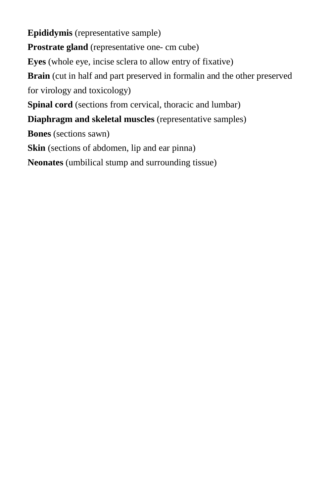**Epididymis** (representative sample) **Prostrate gland** (representative one- cm cube) **Eyes** (whole eye, incise sclera to allow entry of fixative) **Brain** (cut in half and part preserved in formalin and the other preserved for virology and toxicology) **Spinal cord** (sections from cervical, thoracic and lumbar) **Diaphragm and skeletal muscles** (representative samples) **Bones** (sections sawn) **Skin** (sections of abdomen, lip and ear pinna) **Neonates** (umbilical stump and surrounding tissue)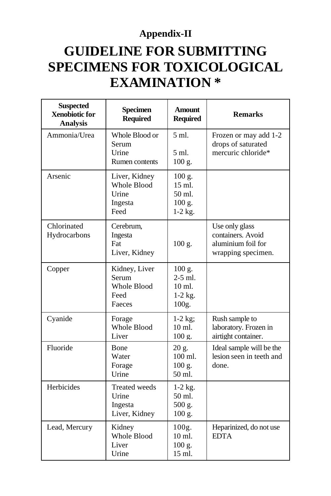# **Appendix-II**

# **GUIDELINE FOR SUBMITTING SPECIMENS FOR TOXICOLOGICAL EXAMINATION \***

| <b>Suspected</b><br><b>Xenobiotic for</b><br><b>Analysis</b> | <b>Specimen</b><br><b>Required</b>                        | <b>Amount</b><br><b>Required</b>                               | <b>Remarks</b>                                                                  |
|--------------------------------------------------------------|-----------------------------------------------------------|----------------------------------------------------------------|---------------------------------------------------------------------------------|
| Ammonia/Urea                                                 | Whole Blood or<br>Serum<br>Urine<br>Rumen contents        | 5 ml.<br>5 ml.<br>$100$ g.                                     | Frozen or may add 1-2<br>drops of saturated<br>mercuric chloride*               |
| Arsenic                                                      | Liver, Kidney<br>Whole Blood<br>Urine<br>Ingesta<br>Feed  | $100$ g.<br>15 ml.<br>50 ml.<br>$100 \text{ g}$ .<br>$1-2$ kg. |                                                                                 |
| Chlorinated<br>Hydrocarbons                                  | Cerebrum,<br>Ingesta<br>Fat<br>Liver, Kidney              | 100 g.                                                         | Use only glass<br>containers. Avoid<br>aluminium foil for<br>wrapping specimen. |
| Copper                                                       | Kidney, Liver<br>Serum<br>Whole Blood<br>Feed<br>Faeces   | $100$ g.<br>$2-5$ ml.<br>10 ml.<br>$1-2$ kg.<br>100g.          |                                                                                 |
| Cyanide                                                      | Forage<br><b>Whole Blood</b><br>Liver                     | $1-2$ kg;<br>$10 \text{ ml}$ .<br>$100$ g.                     | Rush sample to<br>laboratory. Frozen in<br>airtight container.                  |
| Fluoride                                                     | Bone<br>Water<br>Forage<br>Urine                          | 20 g.<br>$100$ ml.<br>100 g.<br>50 ml.                         | Ideal sample will be the<br>lesion seen in teeth and<br>done.                   |
| Herbicides                                                   | <b>Treated</b> weeds<br>Urine<br>Ingesta<br>Liver, Kidney | $1-2$ kg.<br>$50$ ml.<br>500 g.<br>$100$ g.                    |                                                                                 |
| Lead, Mercury                                                | Kidney<br><b>Whole Blood</b><br>Liver<br>Urine            | 100g.<br>10 ml.<br>$100$ g.<br>15 ml.                          | Heparinized, do not use<br><b>EDTA</b>                                          |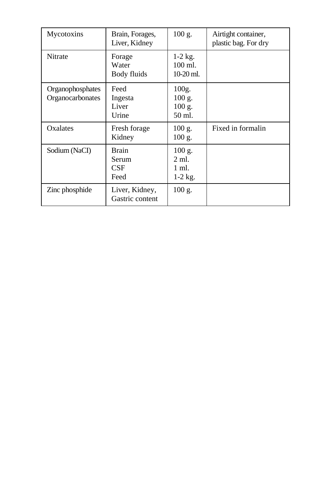| Mycotoxins                           | Brain, Forages,<br>Liver, Kidney     | $100$ g.                                           | Airtight container,<br>plastic bag. For dry |
|--------------------------------------|--------------------------------------|----------------------------------------------------|---------------------------------------------|
| Nitrate                              | Forage<br>Water<br>Body fluids       | $1-2$ kg.<br>$100$ ml.<br>10-20 ml.                |                                             |
| Organophosphates<br>Organocarbonates | Feed<br>Ingesta<br>Liver<br>Urine    | 100g.<br>$100$ g.<br>$100$ g.<br>$50$ ml.          |                                             |
| Oxalates                             | Fresh forage<br>Kidney               | 100 g.<br>100 g.                                   | Fixed in formalin                           |
| Sodium (NaCI)                        | <b>Brain</b><br>Serum<br>CSF<br>Feed | $100$ g.<br>$2 \text{ ml}$ .<br>1 ml.<br>$1-2$ kg. |                                             |
| Zinc phosphide                       | Liver, Kidney,<br>Gastric content    | 100 g.                                             |                                             |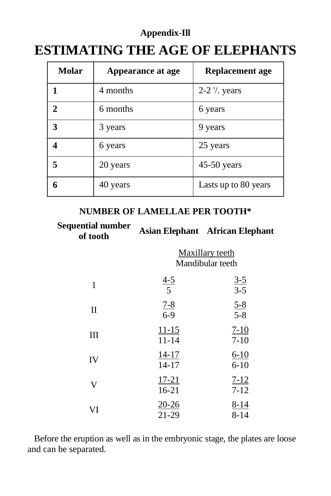# **Appendix-Ill ESTIMATING THE AGE OF ELEPHANTS**

| <b>Molar</b>                | Appearance at age | <b>Replacement age</b> |
|-----------------------------|-------------------|------------------------|
| 1                           | 4 months          | 2-2 % years            |
| $\mathcal{D}_{\mathcal{L}}$ | 6 months          | 6 years                |
| 3                           | 3 years           | 9 years                |
| 4                           | 6 years           | 25 years               |
| 5                           | 20 years          | 45-50 years            |
| 6                           | 40 years          | Lasts up to 80 years   |

#### **NUMBER OF LAMELLAE PER TOOTH\***

| <b>Sequential number</b><br>of tooth |                                     | <b>Asian Elephant African Elephant</b> |
|--------------------------------------|-------------------------------------|----------------------------------------|
|                                      | Maxillary teeth<br>Mandibular teeth |                                        |
| $\mathbf{1}$                         | $\frac{4-5}{5}$                     | $\frac{3-5}{3-5}$                      |
| $\mathbf{I}$                         | $\frac{7-8}{6-9}$                   | $\frac{5-8}{5-8}$                      |
| III                                  | $11 - 15$<br>$11 - 14$              | $7 - 10$<br>$7 - 10$                   |
| IV                                   | $14 - 17$<br>$14 - 17$              | $6-10$<br>$6 - 10$                     |
| V                                    | $17 - 21$<br>$16 - 21$              | $7 - 12$<br>$7 - 12$                   |
| VI                                   | <u>20-26</u><br>21-29               | $8 - 14$<br>$8 - 14$                   |

Before the eruption as well as in the embryonic stage, the plates are loose and can be separated.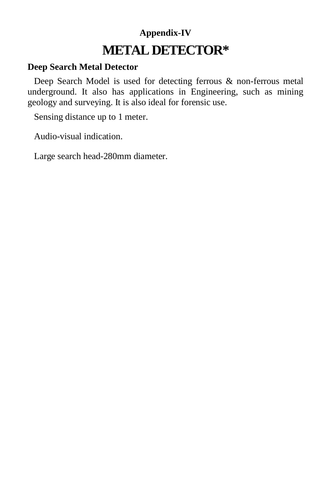# **Appendix-IV METAL DETECTOR\***

#### **Deep Search Metal Detector**

Deep Search Model is used for detecting ferrous & non-ferrous metal underground. It also has applications in Engineering, such as mining geology and surveying. It is also ideal for forensic use.

Sensing distance up to 1 meter.

Audio-visual indication.

Large search head-280mm diameter.